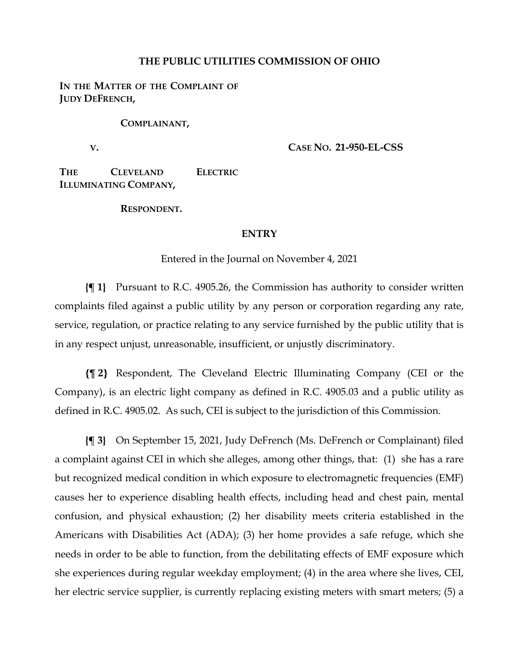### **THE PUBLIC UTILITIES COMMISSION OF OHIO**

## IN THE MATTER OF THE COMPLAINT OF **JUDY DEFRENCH,**

#### **COMPLAINANT,**

**V.**

**CASE NO. 21-950-EL-CSS**

**THE CLEVELAND ELECTRIC ILLUMINATING COMPANY,**

**RESPONDENT.**

### **ENTRY**

Entered in the Journal on November 4, 2021

**{¶ 1}** Pursuant to R.C. 4905.26, the Commission has authority to consider written complaints filed against a public utility by any person or corporation regarding any rate, service, regulation, or practice relating to any service furnished by the public utility that is in any respect unjust, unreasonable, insufficient, or unjustly discriminatory.

**{¶ 2}** Respondent, The Cleveland Electric Illuminating Company (CEI or the Company), is an electric light company as defined in R.C. 4905.03 and a public utility as defined in R.C. 4905.02. As such, CEI is subject to the jurisdiction of this Commission.

**{¶ 3}** On September 15, 2021, Judy DeFrench (Ms. DeFrench or Complainant) filed a complaint against CEI in which she alleges, among other things, that: (1) she has a rare but recognized medical condition in which exposure to electromagnetic frequencies (EMF) causes her to experience disabling health effects, including head and chest pain, mental confusion, and physical exhaustion; (2) her disability meets criteria established in the Americans with Disabilities Act (ADA); (3) her home provides a safe refuge, which she needs in order to be able to function, from the debilitating effects of EMF exposure which she experiences during regular weekday employment; (4) in the area where she lives, CEI, her electric service supplier, is currently replacing existing meters with smart meters; (5) a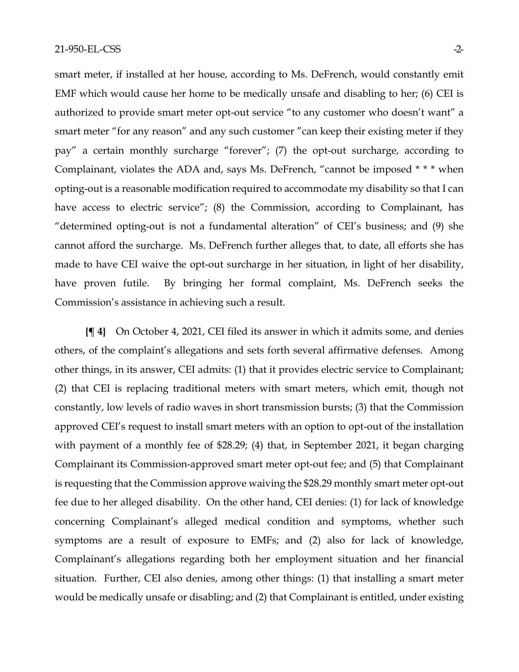smart meter, if installed at her house, according to Ms. DeFrench, would constantly emit EMF which would cause her home to be medically unsafe and disabling to her; (6) CEI is authorized to provide smart meter opt-out service "to any customer who doesn't want" a smart meter "for any reason" and any such customer "can keep their existing meter if they pay" a certain monthly surcharge "forever"; (7) the opt-out surcharge, according to Complainant, violates the ADA and, says Ms. DeFrench, "cannot be imposed \* \* \* when opting-out is a reasonable modification required to accommodate my disability so that I can have access to electric service"; (8) the Commission, according to Complainant, has "determined opting-out is not a fundamental alteration" of CEI's business; and (9) she cannot afford the surcharge. Ms. DeFrench further alleges that, to date, all efforts she has made to have CEI waive the opt-out surcharge in her situation, in light of her disability, have proven futile. By bringing her formal complaint, Ms. DeFrench seeks the Commission's assistance in achieving such a result.

**{¶ 4}** On October 4, 2021, CEI filed its answer in which it admits some, and denies others, of the complaint's allegations and sets forth several affirmative defenses. Among other things, in its answer, CEI admits: (1) that it provides electric service to Complainant; (2) that CEI is replacing traditional meters with smart meters, which emit, though not constantly, low levels of radio waves in short transmission bursts; (3) that the Commission approved CEI's request to install smart meters with an option to opt-out of the installation with payment of a monthly fee of \$28.29; (4) that, in September 2021, it began charging Complainant its Commission-approved smart meter opt-out fee; and (5) that Complainant is requesting that the Commission approve waiving the \$28.29 monthly smart meter opt-out fee due to her alleged disability. On the other hand, CEI denies: (1) for lack of knowledge concerning Complainant's alleged medical condition and symptoms, whether such symptoms are a result of exposure to EMFs; and (2) also for lack of knowledge, Complainant's allegations regarding both her employment situation and her financial situation. Further, CEI also denies, among other things: (1) that installing a smart meter would be medically unsafe or disabling; and (2) that Complainant is entitled, under existing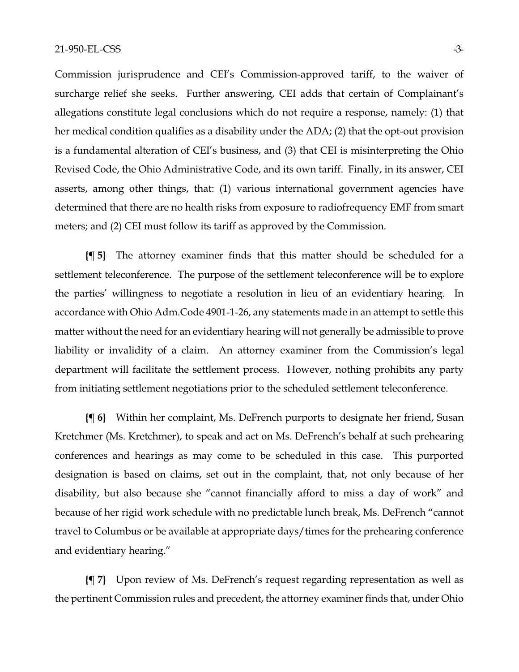Commission jurisprudence and CEI's Commission-approved tariff, to the waiver of surcharge relief she seeks. Further answering, CEI adds that certain of Complainant's allegations constitute legal conclusions which do not require a response, namely: (1) that her medical condition qualifies as a disability under the ADA; (2) that the opt-out provision is a fundamental alteration of CEI's business, and (3) that CEI is misinterpreting the Ohio Revised Code, the Ohio Administrative Code, and its own tariff. Finally, in its answer, CEI asserts, among other things, that: (1) various international government agencies have determined that there are no health risks from exposure to radiofrequency EMF from smart meters; and (2) CEI must follow its tariff as approved by the Commission.

**{¶ 5}** The attorney examiner finds that this matter should be scheduled for a settlement teleconference. The purpose of the settlement teleconference will be to explore the parties' willingness to negotiate a resolution in lieu of an evidentiary hearing. In accordance with Ohio Adm.Code 4901-1-26, any statements made in an attempt to settle this matter without the need for an evidentiary hearing will not generally be admissible to prove liability or invalidity of a claim. An attorney examiner from the Commission's legal department will facilitate the settlement process. However, nothing prohibits any party from initiating settlement negotiations prior to the scheduled settlement teleconference.

**{¶ 6}** Within her complaint, Ms. DeFrench purports to designate her friend, Susan Kretchmer (Ms. Kretchmer), to speak and act on Ms. DeFrench's behalf at such prehearing conferences and hearings as may come to be scheduled in this case. This purported designation is based on claims, set out in the complaint, that, not only because of her disability, but also because she "cannot financially afford to miss a day of work" and because of her rigid work schedule with no predictable lunch break, Ms. DeFrench "cannot travel to Columbus or be available at appropriate days/times for the prehearing conference and evidentiary hearing."

**{¶ 7}** Upon review of Ms. DeFrench's request regarding representation as well as the pertinent Commission rules and precedent, the attorney examiner finds that, under Ohio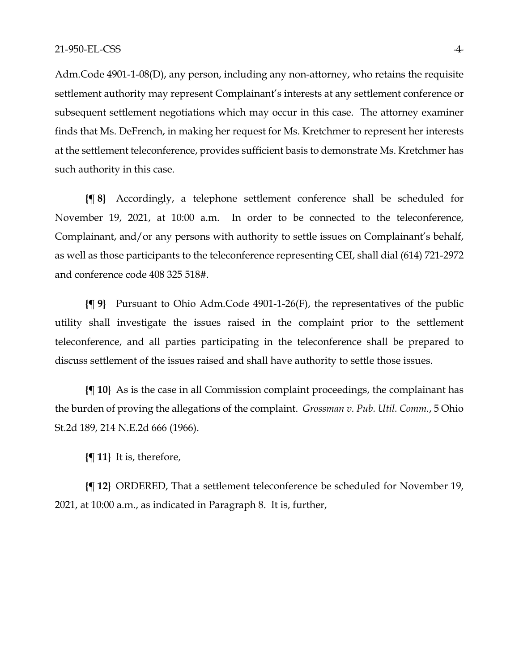Adm.Code 4901-1-08(D), any person, including any non-attorney, who retains the requisite settlement authority may represent Complainant's interests at any settlement conference or subsequent settlement negotiations which may occur in this case. The attorney examiner finds that Ms. DeFrench, in making her request for Ms. Kretchmer to represent her interests at the settlement teleconference, provides sufficient basis to demonstrate Ms. Kretchmer has such authority in this case.

**{¶ 8}** Accordingly, a telephone settlement conference shall be scheduled for November 19, 2021, at 10:00 a.m. In order to be connected to the teleconference, Complainant, and/or any persons with authority to settle issues on Complainant's behalf, as well as those participants to the teleconference representing CEI, shall dial (614) 721-2972 and conference code 408 325 518#.

**{¶ 9}** Pursuant to Ohio Adm.Code 4901-1-26(F), the representatives of the public utility shall investigate the issues raised in the complaint prior to the settlement teleconference, and all parties participating in the teleconference shall be prepared to discuss settlement of the issues raised and shall have authority to settle those issues.

**{¶ 10}** As is the case in all Commission complaint proceedings, the complainant has the burden of proving the allegations of the complaint. *Grossman v. Pub. Util. Comm.*, 5 Ohio St.2d 189, 214 N.E.2d 666 (1966).

**{¶ 11}** It is, therefore,

**{¶ 12}** ORDERED, That a settlement teleconference be scheduled for November 19, 2021, at 10:00 a.m., as indicated in Paragraph 8. It is, further,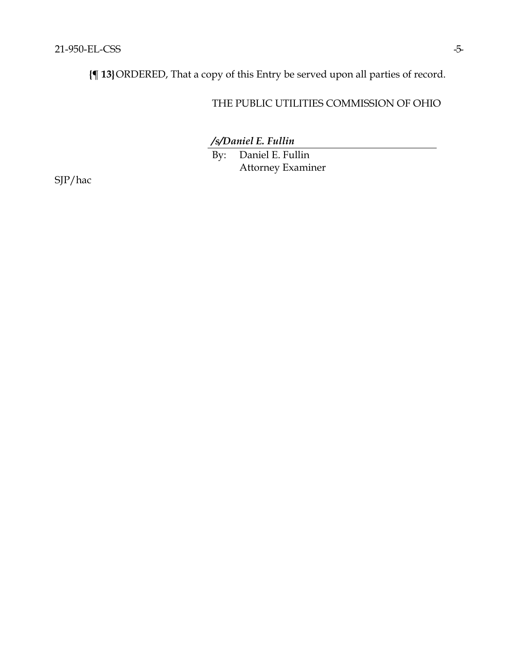**{¶ 13}**ORDERED, That a copy of this Entry be served upon all parties of record.

# THE PUBLIC UTILITIES COMMISSION OF OHIO

*/s/Daniel E. Fullin*

By: Daniel E. Fullin Attorney Examiner

SJP/hac